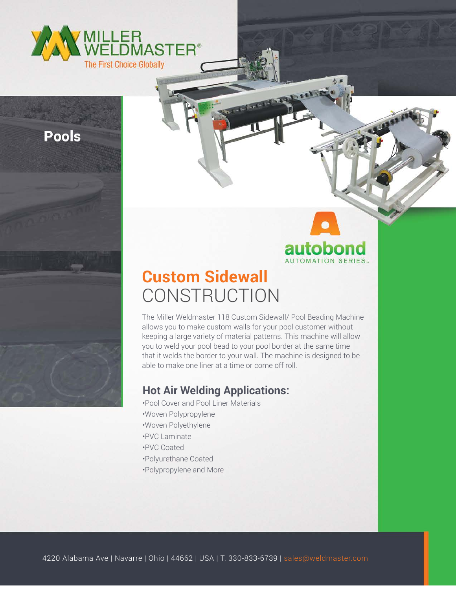

**Pools** 

# autobond AUTOMATION SERIES.

# **Custom Sidewall CONSTRUCTION**

The Miller Weldmaster 118 Custom Sidewall/ Pool Beading Machine allows you to make custom walls for your pool customer without keeping a large variety of material patterns. This machine will allow you to weld your pool bead to your pool border at the same time that it welds the border to your wall. The machine is designed to be able to make one liner at a time or come off roll.

### **Hot Air Welding Applications:**

•Pool Cover and Pool Liner Materials •Woven Polypropylene •Woven Polyethylene •PVC Laminate •PVC Coated •Polyurethane Coated •Polypropylene and More